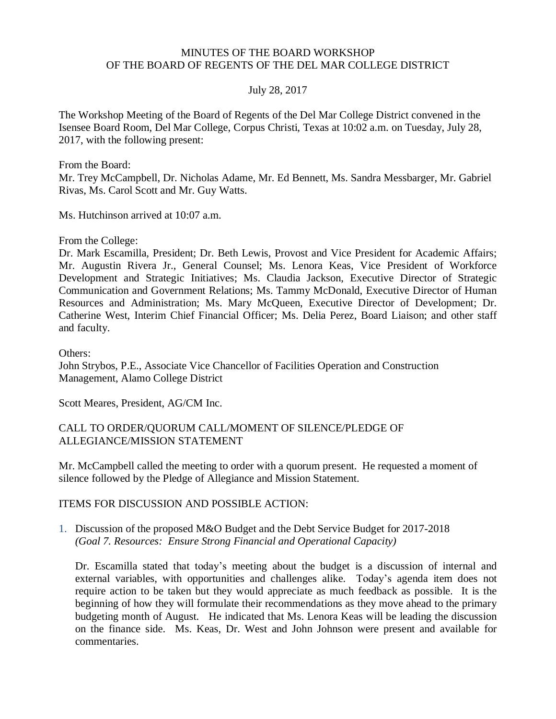## MINUTES OF THE BOARD WORKSHOP OF THE BOARD OF REGENTS OF THE DEL MAR COLLEGE DISTRICT

## July 28, 2017

The Workshop Meeting of the Board of Regents of the Del Mar College District convened in the Isensee Board Room, Del Mar College, Corpus Christi, Texas at 10:02 a.m. on Tuesday, July 28, 2017, with the following present:

From the Board:

Mr. Trey McCampbell, Dr. Nicholas Adame, Mr. Ed Bennett, Ms. Sandra Messbarger, Mr. Gabriel Rivas, Ms. Carol Scott and Mr. Guy Watts.

Ms. Hutchinson arrived at 10:07 a.m.

From the College:

Dr. Mark Escamilla, President; Dr. Beth Lewis, Provost and Vice President for Academic Affairs; Mr. Augustin Rivera Jr., General Counsel; Ms. Lenora Keas, Vice President of Workforce Development and Strategic Initiatives; Ms. Claudia Jackson, Executive Director of Strategic Communication and Government Relations; Ms. Tammy McDonald, Executive Director of Human Resources and Administration; Ms. Mary McQueen, Executive Director of Development; Dr. Catherine West, Interim Chief Financial Officer; Ms. Delia Perez, Board Liaison; and other staff and faculty.

Others:

John Strybos, P.E., Associate Vice Chancellor of Facilities Operation and Construction Management, Alamo College District

Scott Meares, President, AG/CM Inc.

## CALL TO ORDER/QUORUM CALL/MOMENT OF SILENCE/PLEDGE OF ALLEGIANCE/MISSION STATEMENT

Mr. McCampbell called the meeting to order with a quorum present. He requested a moment of silence followed by the Pledge of Allegiance and Mission Statement.

#### ITEMS FOR DISCUSSION AND POSSIBLE ACTION:

1. Discussion of the proposed M&O Budget and the Debt Service Budget for 2017-2018  *(Goal 7. Resources: Ensure Strong Financial and Operational Capacity)*

Dr. Escamilla stated that today's meeting about the budget is a discussion of internal and external variables, with opportunities and challenges alike. Today's agenda item does not require action to be taken but they would appreciate as much feedback as possible. It is the beginning of how they will formulate their recommendations as they move ahead to the primary budgeting month of August. He indicated that Ms. Lenora Keas will be leading the discussion on the finance side. Ms. Keas, Dr. West and John Johnson were present and available for commentaries.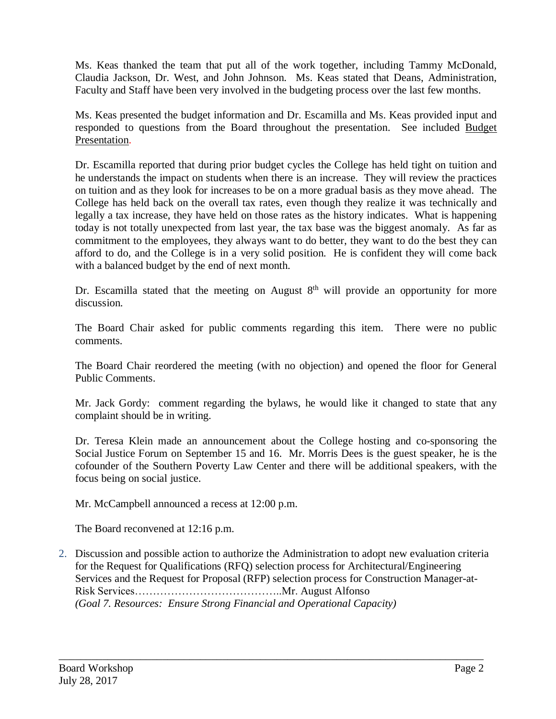Ms. Keas thanked the team that put all of the work together, including Tammy McDonald, Claudia Jackson, Dr. West, and John Johnson. Ms. Keas stated that Deans, Administration, Faculty and Staff have been very involved in the budgeting process over the last few months.

Ms. Keas presented the budget information and Dr. Escamilla and Ms. Keas provided input and responded to questions from the Board throughout the presentation. See included [Budget](http://www.delmar.edu/WorkArea/DownloadAsset.aspx?id=2147485894) [Presentation.](http://www.delmar.edu/WorkArea/DownloadAsset.aspx?id=2147485894)

Dr. Escamilla reported that during prior budget cycles the College has held tight on tuition and he understands the impact on students when there is an increase. They will review the practices on tuition and as they look for increases to be on a more gradual basis as they move ahead. The College has held back on the overall tax rates, even though they realize it was technically and legally a tax increase, they have held on those rates as the history indicates. What is happening today is not totally unexpected from last year, the tax base was the biggest anomaly. As far as commitment to the employees, they always want to do better, they want to do the best they can afford to do, and the College is in a very solid position. He is confident they will come back with a balanced budget by the end of next month.

Dr. Escamilla stated that the meeting on August  $8<sup>th</sup>$  will provide an opportunity for more discussion.

The Board Chair asked for public comments regarding this item. There were no public comments.

The Board Chair reordered the meeting (with no objection) and opened the floor for General Public Comments.

Mr. Jack Gordy: comment regarding the bylaws, he would like it changed to state that any complaint should be in writing.

Dr. Teresa Klein made an announcement about the College hosting and co-sponsoring the Social Justice Forum on September 15 and 16. Mr. Morris Dees is the guest speaker, he is the cofounder of the Southern Poverty Law Center and there will be additional speakers, with the focus being on social justice.

Mr. McCampbell announced a recess at 12:00 p.m.

The Board reconvened at 12:16 p.m.

2. Discussion and possible action to authorize the Administration to adopt new evaluation criteria for the Request for Qualifications (RFQ) selection process for Architectural/Engineering Services and the Request for Proposal (RFP) selection process for Construction Manager-at-Risk Services…………………………………..Mr. August Alfonso *(Goal 7. Resources: Ensure Strong Financial and Operational Capacity)*

\_\_\_\_\_\_\_\_\_\_\_\_\_\_\_\_\_\_\_\_\_\_\_\_\_\_\_\_\_\_\_\_\_\_\_\_\_\_\_\_\_\_\_\_\_\_\_\_\_\_\_\_\_\_\_\_\_\_\_\_\_\_\_\_\_\_\_\_\_\_\_\_\_\_\_\_\_\_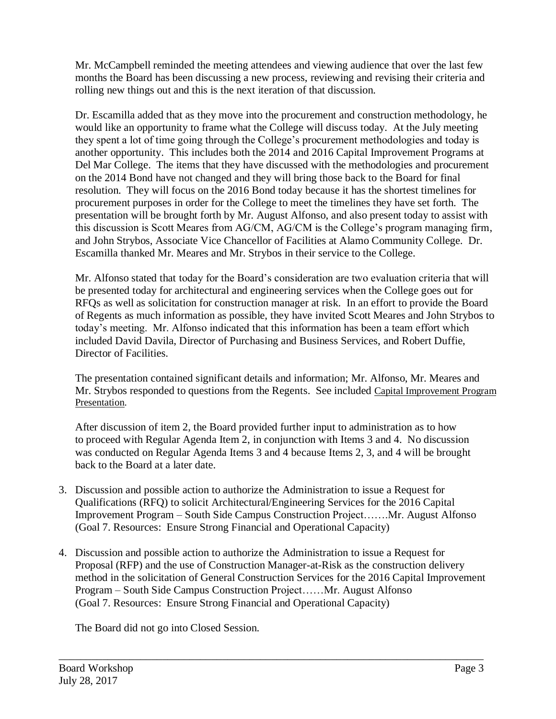Mr. McCampbell reminded the meeting attendees and viewing audience that over the last few months the Board has been discussing a new process, reviewing and revising their criteria and rolling new things out and this is the next iteration of that discussion.

Dr. Escamilla added that as they move into the procurement and construction methodology, he would like an opportunity to frame what the College will discuss today. At the July meeting they spent a lot of time going through the College's procurement methodologies and today is another opportunity. This includes both the 2014 and 2016 Capital Improvement Programs at Del Mar College. The items that they have discussed with the methodologies and procurement on the 2014 Bond have not changed and they will bring those back to the Board for final resolution. They will focus on the 2016 Bond today because it has the shortest timelines for procurement purposes in order for the College to meet the timelines they have set forth. The presentation will be brought forth by Mr. August Alfonso, and also present today to assist with this discussion is Scott Meares from AG/CM, AG/CM is the College's program managing firm, and John Strybos, Associate Vice Chancellor of Facilities at Alamo Community College. Dr. Escamilla thanked Mr. Meares and Mr. Strybos in their service to the College.

Mr. Alfonso stated that today for the Board's consideration are two evaluation criteria that will be presented today for architectural and engineering services when the College goes out for RFQs as well as solicitation for construction manager at risk. In an effort to provide the Board of Regents as much information as possible, they have invited Scott Meares and John Strybos to today's meeting. Mr. Alfonso indicated that this information has been a team effort which included David Davila, Director of Purchasing and Business Services, and Robert Duffie, Director of Facilities.

The presentation contained significant details and information; Mr. Alfonso, Mr. Meares and Mr. Strybos responded to questions from the Regents. See included [Capital Improvement Program](http://www.delmar.edu/WorkArea/DownloadAsset.aspx?id=2147485953)  [Presentation.](http://www.delmar.edu/WorkArea/DownloadAsset.aspx?id=2147485953)

After discussion of item 2, the Board provided further input to administration as to how to proceed with Regular Agenda Item 2, in conjunction with Items 3 and 4. No discussion was conducted on Regular Agenda Items 3 and 4 because Items 2, 3, and 4 will be brought back to the Board at a later date.

- 3. Discussion and possible action to authorize the Administration to issue a Request for Qualifications (RFQ) to solicit Architectural/Engineering Services for the 2016 Capital Improvement Program – South Side Campus Construction Project…….Mr. August Alfonso (Goal 7. Resources: Ensure Strong Financial and Operational Capacity)
- 4. Discussion and possible action to authorize the Administration to issue a Request for Proposal (RFP) and the use of Construction Manager-at-Risk as the construction delivery method in the solicitation of General Construction Services for the 2016 Capital Improvement Program – South Side Campus Construction Project……Mr. August Alfonso (Goal 7. Resources: Ensure Strong Financial and Operational Capacity)

\_\_\_\_\_\_\_\_\_\_\_\_\_\_\_\_\_\_\_\_\_\_\_\_\_\_\_\_\_\_\_\_\_\_\_\_\_\_\_\_\_\_\_\_\_\_\_\_\_\_\_\_\_\_\_\_\_\_\_\_\_\_\_\_\_\_\_\_\_\_\_\_\_\_\_\_\_\_

The Board did not go into Closed Session.